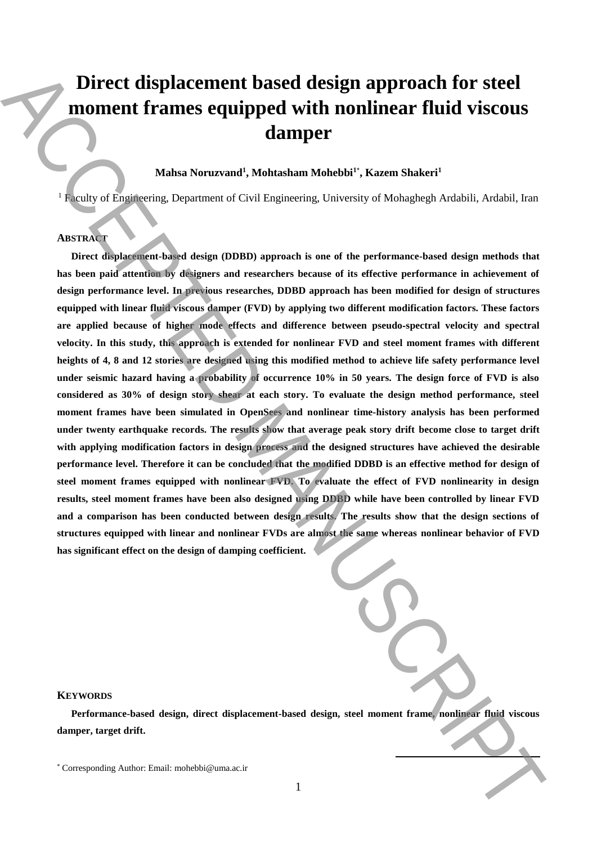# **Direct displacement based design approach for steel moment frames equipped with nonlinear fluid viscous damper**

# **Mahsa Noruzvand<sup>1</sup> , Mohtasham Mohebbi<sup>1</sup>**\* **, Kazem Shakeri<sup>1</sup>**

<sup>1</sup> Faculty of Engineering, Department of Civil Engineering, University of Mohaghegh Ardabili, Ardabil, Iran

# **ABSTRACT**

**Direct displacement-based design (DDBD) approach is one of the performance-based design methods that has been paid attention by designers and researchers because of its effective performance in achievement of design performance level. In previous researches, DDBD approach has been modified for design of structures equipped with linear fluid viscous damper (FVD) by applying two different modification factors. These factors are applied because of higher mode effects and difference between pseudo**‐**spectral velocity and spectral velocity. In this study, this approach is extended for nonlinear FVD and steel moment frames with different heights of 4, 8 and 12 stories are designed using this modified method to achieve life safety performance level under seismic hazard having a probability of occurrence 10% in 50 years. The design force of FVD is also considered as 30% of design story shear at each story. To evaluate the design method performance, steel moment frames have been simulated in OpenSees and nonlinear time-history analysis has been performed under twenty earthquake records. The results show that average peak story drift become close to target drift with applying modification factors in design process and the designed structures have achieved the desirable performance level. Therefore it can be concluded that the modified DDBD is an effective method for design of steel moment frames equipped with nonlinear FVD. To evaluate the effect of FVD nonlinearity in design results, steel moment frames have been also designed using DDBD while have been controlled by linear FVD and a comparison has been conducted between design results. The results show that the design sections of structures equipped with linear and nonlinear FVDs are almost the same whereas nonlinear behavior of FVD has significant effect on the design of damping coefficient.** Direct displacement based design approach for steel<br>
moment frames equipped with nonlinear fluid viscous<br>
stamper states. Someward Mohebbi", Kazen Shater!<br>
Shatsa Nomena at OSM Tapessen, Universy of Melodelegh Andelis, An

| l, |
|----|
|    |
|    |

**.** 

### **KEYWORDS**

**Performance-based design, direct displacement-based design, steel moment frame, nonlinear fluid viscous damper, target drift.**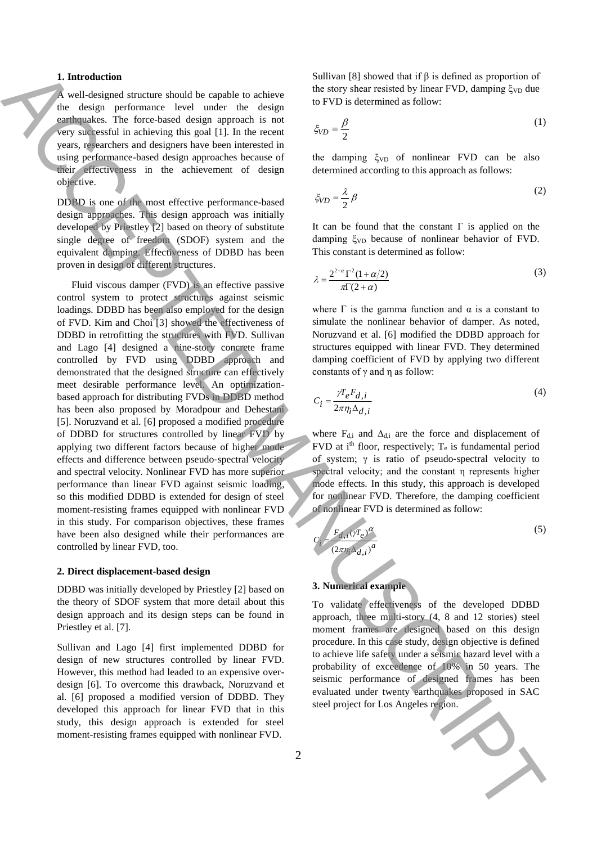#### **1. Introduction**

A well-designed structure should be capable to achieve the design performance level under the design earthquakes. The force-based design approach is not very successful in achieving this goal [1]. In the recent years, researchers and designers have been interested in using performance-based design approaches because of their effectiveness in the achievement of design objective.

DDBD is one of the most effective performance-based design approaches. This design approach was initially developed by Priestley [2] based on theory of substitute single degree of freedom (SDOF) system and the equivalent damping. Effectiveness of DDBD has been proven in design of different structures.

Fluid viscous damper (FVD) is an effective passive control system to protect structures against seismic loadings. DDBD has been also employed for the design of FVD. Kim and Choi [3] showed the effectiveness of DDBD in retrofitting the structures with FVD. Sullivan and Lago [4] designed a nine-story concrete frame controlled by FVD using DDBD approach and demonstrated that the designed structure can effectively meet desirable performance level. An optimizationbased approach for distributing FVDs in DDBD method has been also proposed by Moradpour and Dehestani [5]. Noruzvand et al. [6] proposed a modified procedure of DDBD for structures controlled by linear FVD by applying two different factors because of higher mode effects and difference between pseudo‐spectral velocity and spectral velocity. Nonlinear FVD has more superior performance than linear FVD against seismic loading, so this modified DDBD is extended for design of steel moment-resisting frames equipped with nonlinear FVD in this study. For comparison objectives, these frames have been also designed while their performances are controlled by linear FVD, too. **1.** Introduction observe density is equivalent in the signal of the signal projection of the signal projection of the signal projection of the signal projection of the signal projection of the signal projection of the si

#### **2. Direct displacement-based design**

DDBD was initially developed by Priestley [2] based on the theory of SDOF system that more detail about this design approach and its design steps can be found in Priestley et al. [7].

Sullivan and Lago [4] first implemented DDBD for design of new structures controlled by linear FVD. However, this method had leaded to an expensive overdesign [6]. To overcome this drawback, Noruzvand et al. [6] proposed a modified version of DDBD. They developed this approach for linear FVD that in this study, this design approach is extended for steel moment-resisting frames equipped with nonlinear FVD.

Sullivan [8] showed that if  $β$  is defined as proportion of the story shear resisted by linear FVD, damping  $\xi_{VD}$  due to FVD is determined as follow:

$$
\xi_{VD} = \frac{\beta}{2} \tag{1}
$$

the damping  $\xi_{VD}$  of nonlinear FVD can be also determined according to this approach as follows:

$$
\xi_{VD} = \frac{\lambda}{2} \beta \tag{2}
$$

It can be found that the constant  $\Gamma$  is applied on the damping ξ<sub>VD</sub> because of nonlinear behavior of FVD. This constant is determined as follow:

$$
\lambda = \frac{2^{2+\alpha} \Gamma^2 (1+\alpha/2)}{\pi \Gamma (2+\alpha)}\tag{3}
$$

where  $\Gamma$  is the gamma function and  $\alpha$  is a constant to simulate the nonlinear behavior of damper. As noted, Noruzvand et al. [6] modified the DDBD approach for structures equipped with linear FVD. They determined damping coefficient of FVD by applying two different constants of γ and η as follow:

$$
C_i = \frac{\gamma T_e F_{d,i}}{2\pi \eta_i \Delta_{d,i}}\tag{4}
$$

where  $F_{d,i}$  and  $\Delta_{d,i}$  are the force and displacement of FVD at  $i<sup>th</sup>$  floor, respectively;  $T_e$  is fundamental period of system;  $\gamma$  is ratio of pseudo-spectral velocity to spectral velocity; and the constant η represents higher mode effects. In this study, this approach is developed for nonlinear FVD. Therefore, the damping coefficient of nonlinear FVD is determined as follow:

$$
C_i = \frac{F_{d,i}(\gamma T_e)^{\alpha}}{(2\pi \eta_i \Delta_{d,i})^a}
$$
 (5)

# **3. Numerical example**

To validate effectiveness of the developed DDBD approach, three multi-story (4, 8 and 12 stories) steel moment frames are designed based on this design procedure. In this case study, design objective is defined to achieve life safety under a seismic hazard level with a probability of exceedence of 10% in 50 years. The seismic performance of designed frames has been evaluated under twenty earthquakes proposed in SAC